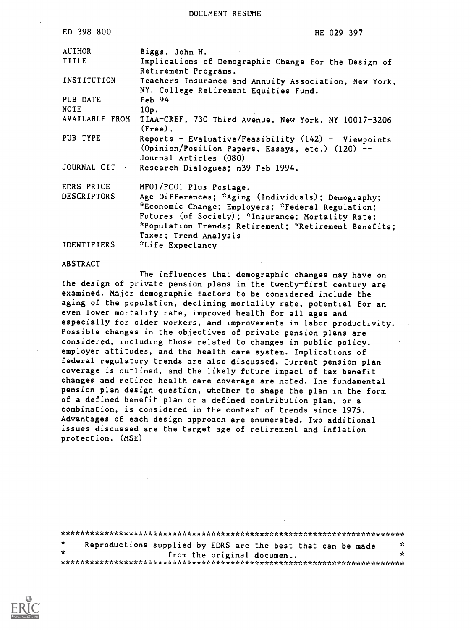DOCUMENT RESUME

| ED 398 800         | HE 029 397                                                                                                                           |
|--------------------|--------------------------------------------------------------------------------------------------------------------------------------|
| <b>AUTHOR</b>      | Biggs, John H.                                                                                                                       |
| TITLE              | Implications of Demographic Change for the Design of<br>Retirement Programs.                                                         |
| INSTITUTION        | Teachers Insurance and Annuity Association, New York,<br>NY. College Retirement Equities Fund.                                       |
| PUB DATE           | Feb 94                                                                                                                               |
| <b>NOTE</b>        | 10p.                                                                                                                                 |
| AVAILABLE FROM     | TIAA-CREF, 730 Third Avenue, New York, NY 10017-3206<br>$(Free)$ .                                                                   |
| PUB TYPE           | Reports - Evaluative/Feasibility $(142)$ -- Viewpoints<br>(Opinion/Position Papers, Essays, etc.) (120) --<br>Journal Articles (080) |
| <b>JOURNAL CIT</b> | Research Dialogues; n39 Feb 1994.                                                                                                    |
| EDRS PRICE         | MF01/PC01 Plus Postage.                                                                                                              |
| <b>DESCRIPTORS</b> | Age Differences; *Aging (Individuals); Demography;                                                                                   |
|                    | *Economic Change; Employers; *Federal Regulation;                                                                                    |
|                    | Futures (of Society); *Insurance; Mortality Rate;                                                                                    |
|                    | *Population Trends; Retirement; *Retirement Benefits;                                                                                |
|                    | Taxes; Trend Analysis                                                                                                                |
| IDENTIFIERS        | *Life Expectancy                                                                                                                     |
|                    |                                                                                                                                      |

#### ABSTRACT

The influences that demographic changes may have on the design of private pension plans in the twenty-first century are examined. Major demographic factors to be considered include the aging of the population, declining mortality rate, potential for an even lower mortality rate, improved health for all ages and especially for older workers, and improvements in labor productivity. Possible changes in the objectives of private pension plans are considered, including those related to changes in public policy, employer attitudes, and the health care system. Implications of federal regulatory trends are also discussed. Current pension plan coverage is outlined, and the likely future impact of tax benefit changes and retiree health care coverage are noted. The fundamental pension plan design question, whether to shape the plan in the form of a defined benefit plan or a defined contribution plan, or a combination, is considered in the context of trends since 1975. Advantages of each design approach are enumerated. Two additional issues discussed are the target age of retirement and inflation protection. (MSE)

\*\*\*\*\*\*\*\*\*\*\*\*\*\*\*\*\*\*\*\*\*\*\*\*\*\*\*\*\*\*\*\*\*\*\*\*\*\*\*\*\*\*\*\*\*\*\*\*\*\*\*\*\*\*\*\*\*\*\*\*\*\*\*\*\*\*\*\*\*\*\*  $\mathbf{r}$ Reproductions supplied by EDRS are the best that can be made from the original document. \*\*\*\*\*\*\*\*\*\*\*\*\*\*\*\*\*\*\*\*\*\*\*\*\*\*\*\*\*\*\*\*\*\*\*\*\*\*\*\*\*\*\*\*\*\*\*\*\*\*\*\*\*\*\*\*\*\*\*\*\*\*\*\*\*\*\*\*\*\*\*

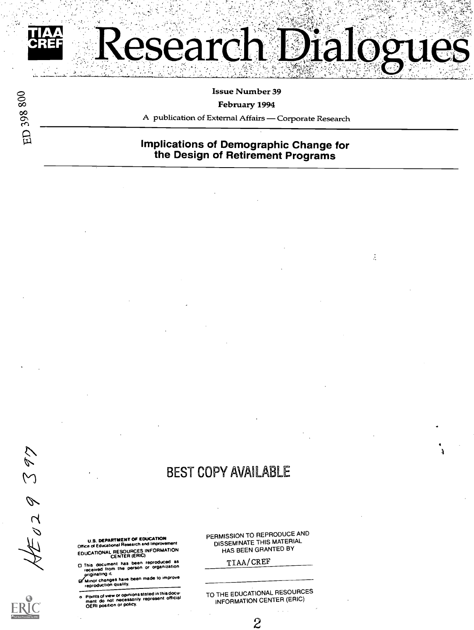

ED 398 800

#### Issue Number 39

#### February 1994

A publication of External Affairs - Corporate Research

#### Implications of Demographic Change for the Design of Retirement Programs

Ž,

## BEST COPY AVAILABLE

U.S. DEPARTMENT OF EDUCATION<br>Office of Educational Research and Improvement EDUCATIONAL RESOURCES INFORMATION CENTER (ERIC)

O This document has been reproduced as received from the person or organization pryiginating rt

.M.'Minot changes have been made to improve reproduction quality.

o Points of view or opinions stated in this docu-ment do not necessority represent official OERt position or policy.

PERMISSION TO REPRODUCE AND DISSEMINATE THIS MATERIAL HAS BEEN GRANTED BY

TIAA/CREF

TO THE EDUCATIONAL RESOURCES INFORMATION CENTER (ERIC)

 $\boldsymbol{c}$ 

 $\mathcal{L}\mathcal{L}$ 

 $\mathcal{M}$ 

 $\mathscr{D}$ 

 $\overline{\mathcal{L}}$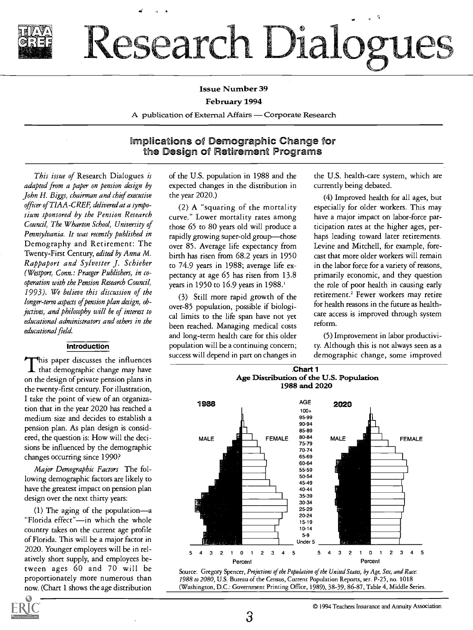

# Research Dialogues

#### Issue Number 39

#### February 1994

A publication of External Affairs - Corporate Research

#### implications of Demographic Change for the Design of Retirement Programs

This issue of Research Dialogues is adapted from a paper on pension design by John H. Biggs, chairman and chief executive officer of TIAA-CREF, delivered at a symposium sponsored by the Pension Research Council, The Wharton School, University of Pennsylvania. It was recently published in Demography and Retirement: The Twenty-First Century, edited by Anna M. Rappaport and Sylvester J. Schieber (Westport, Conn.: Praeger Publishers, in cooperation with the Pension Research Council, 1993). We believe this discussion of the longer-term aspects of pension plan design, objectives, and philosophy will be of interest to educational administrators and others in the educational field.

#### **Introduction**

This paper discusses the influences that demographic change may have on the design of private pension plans in the twenty-first century. For illustration, I take the point of view of an organization that in the year 2020 has reached a medium size and decides to establish a pension plan. As plan design is considered, the question is: How will the decisions be influenced by the demographic changes occurring since 1990?

Major Demographic Factors The following demographic factors are likely to have the greatest impact on pension plan design over the next thirty years:

(1) The aging of the population-a "Florida effect"-in which the whole country takes on the current age profile of Florida. This will be a major factor in 2020. Younger employees will be in relatively short supply, and employees between ages 60 and 70 will be proportionately more numerous than now. (Chart 1 shows the age distribution of the U.S. population in 1988 and the expected changes in the distribution in the year 2020.)

(2) A "squaring of the mortality curve." Lower mortality rates among those 65 to 80 years old will produce a rapidly growing super-old group—those over 85. Average life expectancy from birth has risen from 68.2 years in 1950 to 74.9 years in 1988; average life expectancy at age 65 has risen from 13.8 years in 1950 to 16.9 years in 1988.'

(3) Still more rapid growth of the over-85 population, possible if biological limits to the life span have not yet been reached. Managing medical costs and long-term health care for this older population will be a continuing concern; success will depend in part on changes in

the U.S. health-care system, which are currently being debated.

(4) Improved health for all ages, but especially for older workers. This may have a major impact on labor-force participation rates at the higher ages, perhaps leading toward later retirements. Levine and Mitchell, for example, forecast that more older workers will remain in the labor force for a variety of reasons, primarily economic, and they question the role of poor health in causing early retirement.' Fewer workers may retire for health reasons in the future as healthcare access is improved through system reform.

(5) Improvement in labor productivity. Although this is not always seen as a demographic change, some improved





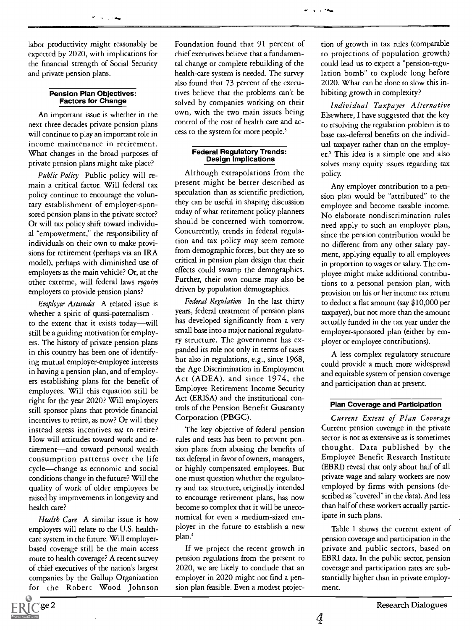labor productivity might reasonably be expected by 2020, with implications for the financial strength of Social Security and private pension plans.

## Pension Plan Objectives: Factors for Change

An important issue is whether in the next three decades private pension plans will continue to play an important role in income maintenance in retirement. What changes in the broad purposes of private pension plans might take place?

Public Policy Public policy will remain a critical factor. Will federal tax policy continue to encourage the voluntary establishment of employer-sponsored pension plans in the private sector? Or will tax policy shift toward individual "empowerment," the responsibility of individuals on their own to make provisions for retirement (perhaps via an IRA model), perhaps with diminished use of employers as the main vehicle? Or, at the other extreme, will federal laws require employers to provide pension plans?

Employer Attitudes A related issue is whether a spirit of quasi-paternalism to the extent that it exists today-will still be a guiding motivation for employers. The history of private pension plans in this country has been one of identifying mutual employer-employee interests in having a pension plan, and of employers establishing plans for the benefit of employees. Will this equation still be right for the year 2020? Will employers still sponsor plans that provide financial incentives to retire, as now? Or will they instead stress incentives not to retire? How will attitudes toward work and retirement-and toward personal wealth consumption patterns over the life cycle-change as economic and social conditions change in the future? Will the quality of work of older employees be raised by improvements in longevity and health care?

Health Care A similar issue is how employers will relate to the U.S. healthcare system in the future. Will employerbased coverage still be the main access route to health coverage? A recent survey of chief executives of the nation's largest companies by the Gallup Organization for the Robert Wood Johnson Foundation found that 91 percent of chief executives believe that a fundamental change or complete rebuilding of the health-care system is needed. The survey also found that 73 percent of the executives believe that the problems can't be solved by companies working on their own, with the two main issues being control of the cost of health care and access to the system for more people.<sup>3</sup>

## Federal Regulatory Trends: Design Implications

Although extrapolations from the present might be better described as speculation than as scientific prediction, they can be useful in shaping discussion today of what retirement policy planners should be concerned with tomorrow. Concurrently, trends in federal regulation and tax policy may seem remote from demographic forces, but they are so critical in pension plan design that their effects could swamp the demographics. Further, their own course may also be driven by population demographics.

Federal Regulation In the last thirty years, federal treatment of pension plans has developed significantly from a very small base into a major national regulatory structure. The government has expanded its role not only in terms of taxes but also in regulations, e.g., since 1968, the Age Discrimination in Employment Act (ADEA), and since 1974, the Employee Retirement Income Security Act (ERISA) and the institutional controls of the Pension Benefit Guaranty Corporation (PBGC).

The key objective of federal pension rules and tests has been to prevent pension plans from abusing the benefits of tax deferral in favor of owners, managers, or highly compensated employees. But one must question whether the regulatory and tax structure, originally intended to encourage retirement plans, has now become so complex that it will be uneconomical for even a medium-sized employer in the future to establish a new plan.'

If we project the recent growth in pension regulations from the present to 2020, we are likely to conclude that an employer in 2020 might not find a pension plan feasible. Even a modest projection of growth in tax rules (comparable to projections of population growth) could lead us to expect a "pension-regulation bomb" to explode long before 2020. What can be done to slow this inhibiting growth in complexity?

Individual Taxpayer Alternative Elsewhere, I have suggested that the key to resolving the regulation problem is to base tax-deferral benefits on the individual taxpayer rather than on the employer.' This idea is a simple one and also solves many equity issues regarding tax policy.

Any employer contribution to a pension plan would be "attributed" to the employee and become taxable income. No elaborate nondiscrimination rules need apply to such an employer plan, since the pension contribution would be no different from any other salary payment, applying equally to all employees in proportion to wages or salary. The employee might make additional contributions to a personal pension plan, with provision on his or her income tax return to deduct a flat amount (say \$10,000 per taxpayer), but not more than the amount actually funded in the tax year under the employer-sponsored plan (either by employer or employee contributions).

A less complex regulatory structure could provide a much more widespread and equitable system of pension coverage and participation than at present.

#### Plan Coverage and Participation

Current Extent of Plan Coverage Current pension coverage in the private sector is not as extensive as is sometimes thought. Data published by the Employee Benefit Research Institute (EBRI) reveal that only about half of all private wage and salary workers are now employed by firms with pensions (described as "covered" in the data). And less than half of these workers actually participate in such plans.

Table 1 shows the current extent of pension coverage and participation in the private and public sectors, based on EBRI data. In the public sector, pension coverage and participation rates are substantially higher than in private employment.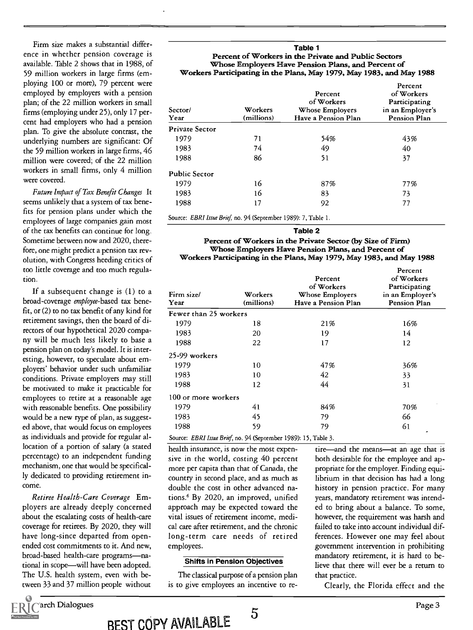Firm size makes a substantial difference in whether pension coverage is available. Table 2 shows that in 1988, of 59 million workers in large firms (employing 100 or more), 79 percent were employed by employers with a pension plan; of the 22 million workers in small firms (employing under 25), only 17 percent had employers who had a pension plan. To give the absolute contrast, the underlying numbers are significant: Of the 59 million workers in large firms, 46 million were covered; of the 22 million workers in small firms, only 4 million were covered.

Future Impact of Tax Benefit Changes It seems unlikely that a system of tax benefits for pension plans under which the employees of large companies gain most of the tax benefits can continue for long. Sometime between now and 2020, therefore, one might predict a pension tax revolution, with Congress heeding critics of too little coverage and too much regulation.

If a subsequent change is (1) to a broad-coverage employee-based tax benefit, or (2) to no tax benefit of any kind for retirement savings, then the board of directors of our hypothetical 2020 company will be much less likely to base a pension plan on today's model. It is interesting, however, to speculate about employers' behavior under such unfamiliar conditions. Private employers may still be motivated to make it practicable for employees to retire at a reasonable age with reasonable benefits. One possibility would be a new type of plan, as suggested above, that would focus on employees as individuals and provide for regular allocation of a portion of salary (a stated percentage) to an independent funding mechanism, one that would be specifically dedicated to providing retirement in come.

Retiree Health-Care Coverage Employers are already deeply concerned about the escalating costs of health-care coverage for retirees. By 2020, they will have long-since departed from openended cost commitments to it. And new, broad-based health-care programs-national in scope—will have been adopted. The U.S. health system, even with between 33 and 37 million people without

#### Table 1 Percent of Workers in the Private and Public Sectors Whose Employers Have Pension Plans, and Percent of Workers Participating in the Plans, May 1979, May 1983, and May 1988

| Sector/<br>Year       | Workers<br>(millions) | Percent<br>of Workers<br>Whose Employers<br>Have a Pension Plan | Percent<br>of Workers<br>Participating<br>in an Employer's<br>Pension Plan |  |  |  |
|-----------------------|-----------------------|-----------------------------------------------------------------|----------------------------------------------------------------------------|--|--|--|
| <b>Private Sector</b> |                       |                                                                 |                                                                            |  |  |  |
| 1979                  | 71                    | 54%                                                             | 43%                                                                        |  |  |  |
| 1983                  | 74                    | 49                                                              | 40                                                                         |  |  |  |
| 1988                  | 86                    | 51                                                              | 37                                                                         |  |  |  |
| <b>Public Sector</b>  |                       |                                                                 |                                                                            |  |  |  |
| 1979                  | 16                    | 87%                                                             | 77%                                                                        |  |  |  |
| 1983                  | 16                    | 83                                                              | 73                                                                         |  |  |  |
| 1988                  | 17                    | 92                                                              | 77                                                                         |  |  |  |

Source: EBRI Issue Brief, no. 94 (September 1989): 7, Table 1.

#### Table 2

#### Percent of Workers in the Private Sector (by Size of Firm) Whose Employers Have Pension Plans, and Percent of Workers Participating in the Plans, May 1979, May 1983, and May 1988

| Firm size/<br>Year                                              | Workers<br>(millions) | Percent<br>of Workers<br>Whose Employers<br>Have a Pension Plan | Percent<br>of Workers<br>Participating<br>in an Employer's<br>Pension Plan |  |  |  |  |
|-----------------------------------------------------------------|-----------------------|-----------------------------------------------------------------|----------------------------------------------------------------------------|--|--|--|--|
| Fewer than 25 workers                                           |                       |                                                                 |                                                                            |  |  |  |  |
| 1979                                                            | 18                    | 21%                                                             | 16%                                                                        |  |  |  |  |
| 1983                                                            | 20                    | 19                                                              | 14                                                                         |  |  |  |  |
| 1988                                                            | 22                    | 17                                                              | 12                                                                         |  |  |  |  |
| 25-99 workers                                                   |                       |                                                                 |                                                                            |  |  |  |  |
| 1979                                                            | 10                    | 47%                                                             | 36%                                                                        |  |  |  |  |
| 1983                                                            | 10                    | 42                                                              | 33                                                                         |  |  |  |  |
| 1988                                                            | 12                    | 44                                                              | 31                                                                         |  |  |  |  |
| 100 or more workers                                             |                       |                                                                 |                                                                            |  |  |  |  |
| 1979                                                            | 41                    | 84%                                                             | 70%                                                                        |  |  |  |  |
| 1983                                                            | 45                    | 79                                                              | 66                                                                         |  |  |  |  |
| 1988                                                            | 59                    | 79                                                              | 61                                                                         |  |  |  |  |
| Source: EBRI Issue Brief, no. 94 (September 1989): 15, Table 3. |                       |                                                                 | ٠                                                                          |  |  |  |  |

health insurance, is now the most expensive in the world, costing 40 percent more per capita than that of Canada, the country in second place, and as much as double the cost in other advanced nations.6 By 2020, an improved, unified approach may be expected toward the vital issues of retirement income, medical care after retirement, and the chronic long-term care needs of retired employees.

#### Shifts in Pension Objectives

The classical purpose of a pension plan is to give employees an incentive to re-

tire—and the means—at an age that is both desirable for the employee and appropriate for the employer. Finding equilibrium in that decision has had a long history in pension practice. For many years, mandatory retirement was intended to bring about a balance. To some, however, the requirement was harsh and failed to take into account individual differences. However one may feel about government intervention in prohibiting mandatory retirement, it is hard to believe that there will ever be a return to that practice.

Clearly, the Florida effect and the



BEST COPY AVAILABLE 5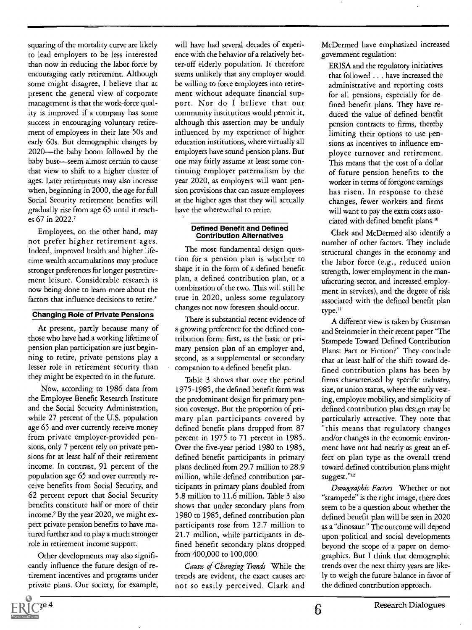squaring of the mortality curve are likely to lead employers to be less interested than now in reducing the labor force by encouraging early retirement. Although some might disagree, I believe that at present the general view of corporate management is that the work-force quality is improved if a company has some success in encouraging voluntary retirement of employees in their late 50s and early 60s. But demographic changes by 2020-the baby boom followed by the baby bust-seem almost certain to cause that view to shift to a higher cluster of ages. Later retirements may also increase when, beginning in 2000, the age for full Social Security retirement benefits will gradually rise from age 65 until it reaches 67 in 2022.'

Employees, on the other hand, may not prefer higher retirement ages. Indeed, improved health and higher lifetime wealth accumulations may produce stronger preferences for longer postretirement leisure. Considerable research is now being done to learn more about the factors that influence decisions to retire.<sup>8</sup>

#### Changing Role of Private Pensions

At present, partly because many of those who have had a working lifetime of pension plan participation are just beginning to retire, private pensions play a lesser role in retirement security than they might be expected to in the future.

Now, according to 1986 data from the Employee Benefit Research Institute and the Social Security Administration, while 27 percent of the U.S. population age 65 and over currently receive money from private employer-provided pensions, only 7 percent rely on private pensions for at least half of their retirement income. In contrast, 91 percent of the population age 65 and over currently receive benefits from Social Security, and 62 percent report that Social Security benefits constitute half or more of their income.9 By the year 2020, we might expect private pension benefits to have matured further and to play a much stronger role in retirement income support.

Other developments may also significantly influence the future design of retirement incentives and programs under private plans. Our society, for example,

will have had several decades of experience with the behavior of a relatively better-off elderly population. It therefore seems unlikely that any employer would be willing to force employees into retirement without adequate financial support. Nor do I believe that our community institutions would permit it, although this assertion may be unduly influenced by my experience of higher education institutions, where virtually all employers have sound pension plans. But one may fairly assume at least some continuing employer paternalism by the year 2020, as employers will want pension provisions that can assure employees at the higher ages that they will actually have the wherewithal to retire.

#### Defined Benefit and Defined Contribution Alternatives

The most fundamental design question for a pension plan is whether to shape it in the form of a defined benefit plan, a defined contribution plan, or a combination of the two. This will still be true in 2020, unless some regulatory changes not now foreseen should occur.

There is substantial recent evidence of a growing preference for the defined contribution form: first, as the basic or primary pension plan of an employer and, second, as a supplemental or secondary companion to a defined benefit plan.

Table 3 shows that over the period 1975-1985, the defined benefit form was the predominant design for primary pension coverage. But the proportion of primary plan participants covered by defined benefit plans dropped from 87 percent in 1975 to 71 percent in 1985. Over the five-year period 1980 to 1985, defined benefit participants in primary plans declined from 29.7 million to 28.9 million, while defined contribution participants in primary plans doubled from 5.8 million to 11.6 million. Table 3 also shows that under secondary plans from 1980 to 1985, defined contribution plan participants rose from 12.7 million to 21.7 million, while participants in defined benefit secondary plans dropped from 400,000 to 100,000.

Causes of Changing Trends While the trends are evident, the exact causes are not so easily perceived. Clark and McDermed have emphasized increased government regulation:

ERISA and the regulatory initiatives that followed . . . have increased the administrative and reporting costs for all pensions, especially for defined benefit plans. They have reduced the value of defined benefit pension contracts to firms, thereby limiting their options to use pensions as incentives to influence employee turnover and retirement. This means that the cost of a dollar of future pension benefits to the worker in terms of foregone earnings has risen. In response to these changes, fewer workers and firms will want to pay the extra costs associated with defined benefit plans.'°

Clark and McDermed also identify a number of other factors. They include structural changes in the economy and the labor force (e.g., reduced union strength, lower employment in the manufacturing sector, and increased employment in services), and the degree of risk associated with the defined benefit plan type.ii

A different view is taken by Gustman and Steinmeier in their recent paper "The Stampede Toward Defined Contribution Plans: Fact or Fiction?" They conclude that at least half of the shift toward defined contribution plans has been by firms characterized by specific industry, size, or union status, where the early vesting, employee mobility, and simplicity of defined contribution plan design may be particularly attractive. They note that "this means that regulatory changes and/or changes in the economic environment have not had nearly as great an effect on plan type as the overall trend toward defined contribution plans might suggest."<sup>12</sup>

Demographic Factors Whether or not "stampede" is the right image, there does seem to be a question about whether the defined benefit plan will be seen in 2020 as a "dinosaur." The outcome will depend upon political and social developments beyond the scope of a paper on demographics. But I think that demographic trends over the next thirty years are likely to weigh the future balance in favor of the defined contribution approach.

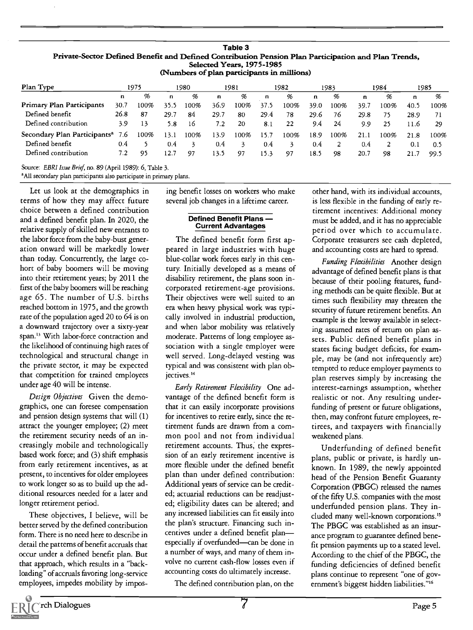| I True occión identica denent and identica continuation i chalon i latí i atticipation and Fian Tienus,<br>Selected Years, 1975-1985<br>(Numbers of plan participants in millions) |      |      |       |              |      |              |      |      |      |      |      |      |      |      |
|------------------------------------------------------------------------------------------------------------------------------------------------------------------------------------|------|------|-------|--------------|------|--------------|------|------|------|------|------|------|------|------|
| Plan Type                                                                                                                                                                          | 1975 |      | 1980  |              | 1981 |              | 1982 |      | 1983 | 1984 |      | 1985 |      |      |
|                                                                                                                                                                                    | n    | %    | n     | %            | n    | %            | n    | %    | n    | %    | n    | %    | n    | %    |
| Primary Plan Participants                                                                                                                                                          | 30.7 | 100% | 35.5  | 100%         | 36.9 | 100%         | 37.5 | 100% | 39.0 | 100% | 39.7 | 100% | 40.5 | 100% |
| Defined benefit                                                                                                                                                                    | 26.8 | 87   | 29.7  | 84           | 29.7 | 80           | 29.4 | 78   | 29.6 | 76   | 29.8 | 75   | 28.9 | 71   |
| Defined contribution                                                                                                                                                               | 3.9  | 13   | 5.8   | -16          | 7.2  | 20           | 8.1  | 22   | 9.4  | 24   | 9.9  | 25   | 11.6 | 29   |
| Secondary Plan Participants <sup>a</sup> 7.6                                                                                                                                       |      | 100% | 13.1  | 100%         | 13.9 | 100%         | 15.7 | 100% | 18.9 | 100% | 21.1 | 100% | 21.8 | 100% |
| Defined benefit                                                                                                                                                                    | 0.4  |      | 0.4   | $\mathbf{z}$ | 0.4  | $\mathbf{z}$ | 0.4  | 3    | 0.4  | 2    | 0.4  |      | 0.1  | 0.5  |
| Defined contribution                                                                                                                                                               | 7.2  | 95   | l 2.7 | 97           | 13.5 | 97           | 15.3 | 97   | 18.5 | 98   | 20.7 | 98   | 21.7 | 99.5 |

## Table 3 Private-Sector Defined Benefit and Defined Contribution Pension Plan Participation and Plan Trends,

Source: EBRI Issue Brief, no. 89 (April 1989): 6, Table 3.

<sup>a</sup>All secondary plan participants also participate in primary plans.

Let us look at the demographics in terms of how they may affect future choice between a defined contribution and a defined benefit plan. In 2020, the relative supply of skilled new entrants to the labor force from the baby-bust generation onward will be markedly lower than today. Concurrently, the large cohort of baby boomers will be moving into their retirement years; by 2011 the first of the baby boomers will be reaching age 65. The number of U.S. births reached bottom in 1975, and the growth rate of the population aged 20 to 64 is on a downward trajectory over a sixty-year span." With labor-force contraction and the likelihood of continuing high rates of technological and structural change in the private sector, it may be expected that competition for trained employees under age 40 will be intense.

Design Objectives Given the demographics, one can foresee compensation and pension design systems that will (1) attract the younger employee; (2) meet the retirement security needs of an increasingly mobile and technologically based work force; and (3) shift emphasis from early retirement incentives, as at present, to incentives for older employees to work longer so as to build up the additional resources needed for a later and longer retirement period.

These objectives, I believe, will be better served by the defined contribution form. There is no need here to describe in detail the patterns of benefit accruals that occur under a defined benefit plan. But that approach, which results in a "backloading" of accruals favoring long-service employees, impedes mobility by imposing benefit losses on workers who make several job changes in a lifetime career.

#### Defined Benefit Plans - Current Advantages

The defined benefit form first appeared in large industries with huge blue-collar work forces early in this century. Initially developed as a means of disability retirement, the plans soon incorporated retirement-age provisions. Their objectives were well suited to an era when heavy physical work was typically involved in industrial production, and when labor mobility was relatively moderate. Patterns of long employee association with a single employer were well served. Long-delayed vesting was typical and was consistent with plan obiectives.<sup>14</sup>

Early Retirement Flexibility One advantage of the defined benefit form is that it can easily incorporate provisions for incentives to retire early, since the retirement funds are drawn from a common pool and not from individual retirement accounts. Thus, the expression of an early retirement incentive is more flexible under the defined benefit plan than under defined contribution: Additional years of service can be credited; actuarial reductions can be readjusted; eligibility dates can be altered; and any increased liabilities can fit easily into the plan's structure. Financing such incentives under a defined benefit planespecially if overfunded-can be done in a number of ways, and many of them involve no current cash-flow losses even if accounting costs do ultimately increase.

The defined contribution plan, on the

other hand, with its individual accounts, is less flexible in the funding of early retirement incentives: Additional money must be added, and it has no appreciable period over which to accumulate. Corporate treasurers see cash depleted, and accounting costs are hard to spread.

Funding Flexibilities Another design advantage of defined benefit plans is that because of their pooling features, funding methods can be quite flexible. But at times such flexibility may threaten the security of future retirement benefits. An example is the leeway available in selecting assumed rates of return on plan assets. Public defined benefit plans in states facing budget deficits, for example, may be (and not infrequently are) tempted to reduce employer payments to plan reserves simply by increasing the interest-earnings assumption, whether realistic or not. Any resulting underfunding of present or future obligations, then, may confront future employees, retirees, and taxpayers with financially weakened plans.

Underfunding of defined benefit plans, public or private, is hardly unknown. In 1989, the newly appointed head of the Pension Benefit Guaranty Corporation (PBGC) released the names of the fifty U.S. companies with the most underfunded pension plans. They included many well-known corporations." The PBGC was established as an insurance program to guarantee defined benefit pension payments up to a stated level. According to the chief of the PBGC, the funding deficiencies of defined benefit plans continue to represent "one of government's biggest hidden liabilities."<sup>16</sup>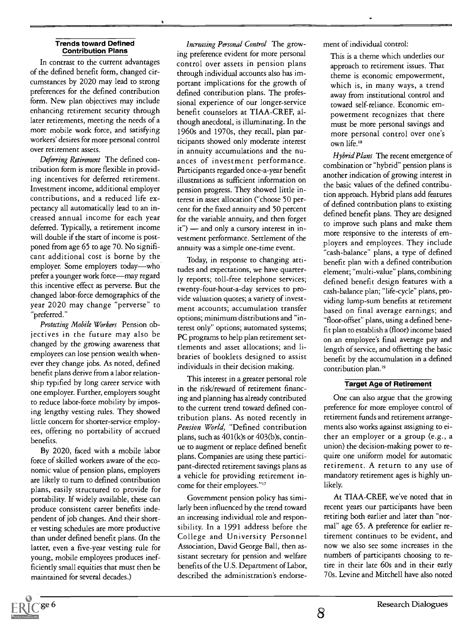#### Trends toward Defined Contribution Plans

In contrast to the current advantages of the defined benefit form, changed circumstances by 2020 may lead to strong preferences for the defined contribution form. New plan objectives may include enhancing retirement security through later retirements, meeting the needs of a more mobile work force, and satisfying workers' desires for more personal control over retirement assets.

Deferring Retirement The defined contribution form is more flexible in providing incentives for deferred retirement. Investment income, additional employer contributions, and a reduced life expectancy all automatically lead to an increased annual income for each year deferred. Typically, a retirement income will double if the start of income is postponed from age 65 to age 70. No significant additional cost is borne by the employer. Some employers today-who prefer a younger work force-may regard this incentive effect as perverse. But the changed labor-force demographics of the year 2020 may change "perverse" to "preferred."

Protecting Mobile Workers Pension objectives in the future may also be changed by the growing awareness that employees can lose pension wealth whenever they change jobs. As noted, defined benefit plans derive from a labor relationship typified by long career service with one employer. Further, employers sought to reduce labor-force mobility by imposing lengthy vesting rules. They showed little concern for shorter-service employees, offering no portability of accrued benefits.

By 2020, faced with a mobile labor force of skilled workers aware of the economic value of pension plans, employers are likely to turn to defined contribution plans, easily structured to provide for portability. If widely available, these can produce consistent career benefits independent of job changes. And their shorter vesting schedules are more productive than under defined benefit plans. (In the latter, even a five-year vesting rule for young, mobile employees produces inefficiently small equities that must then be maintained for several decades.)

Increasing Personal Control The growing preference evident for more personal control over assets in pension plans through individual accounts also has important implications for the growth of defined contribution plans. The professional experience of our longer-service benefit counselors at TIAA-CREF, although anecdotal, is illuminating. In the 1960s and 1970s, they recall, plan participants showed only moderate interest in annuity accumulations and the nuances of investment performance. Participants regarded once-a-year benefit illustrations as sufficient information on pension progress. They showed little interest in asset allocation ("choose 50 percent for the fixed annuity and 50 percent for the variable annuity, and then forget  $it$ ") — and only a cursory interest in investment performance. Settlement of the annuity was a simple one-time event.

Today, in response to changing attitudes and expectations, we have quarterly reports; toll-free telephone services; twenty-four-hour-a-day services to provide valuation quotes; a variety of investment accounts; accumulation transfer options; minimum distributions and "interest only" options; automated systems; PC programs to help plan retirement settlements and asset allocations; and libraries of booklets designed to assist individuals in their decision making.

This interest in a greater personal role in the risk/reward of retirement financing and planning has already contributed to the current trend toward defined contribution plans. As noted recently in Pension World, "Defined contribution plans, such as  $401(k)$ s or  $403(b)$ s, continue to augment or replace defined benefit plans. Companies are using these participant-directed retirement savings plans as a vehicle for providing retirement income for their employees."<sup>17</sup>

Government pension policy has similarly been influenced by the trend toward an increasing individual role and responsibility. In a 1991 address before the College and University Personnel Association, David George Ball, then assistant secretary for pension and welfare benefits of the U.S. Department of Labor, described the administration's endorsement of individual control:

This is a theme which underlies our approach to retirement issues. That theme is economic empowerment, which is, in many ways, a trend away from institutional control and toward self-reliance. Economic empowerment recognizes that there must be more personal savings and more personal control over one's own life.'8

Hybrid Plans The recent emergence of combination or "hybrid" pension plans is another indication of growing interest in the basic values of the defined contribution approach. Hybrid plans add features of defined contribution plans to existing defined benefit plans. They are designed to improve such plans and make them more responsive to the interests of employers and employees. They include "cash-balance" plans, a type of defined benefit plan with a defined contribution element; "multi-value" plans, combining defined benefit design features with a cash-balance plan; "life-cycle" plans, providing lump-sum benefits at retirement based on final average earnings; and "floor-offset" plans, using a defined benefit plan to establish a (floor) income based on an employee's final average pay and length of service, and offsetting the basic benefit by the accumulation in a defined contribution plan.<sup>19</sup>

#### Target Age of Retirement

One can also argue that the growing preference for more employee control of retirement funds and retirement arrangements also works against assigning to either an employer or a group (e.g., a union) the decision-making power to require one uniform model for automatic retirement. A return to any use of mandatory retirement ages is highly unlikely.

At TIAA-CREF, we've noted that in recent years our participants have been retiring both earlier and later than "normal" age 65. A preference for earlier retirement continues to be evident, and now we also see some increases in the numbers of participants choosing to retire in their late 60s and in their early 70s. Levine and Mitchell have also noted

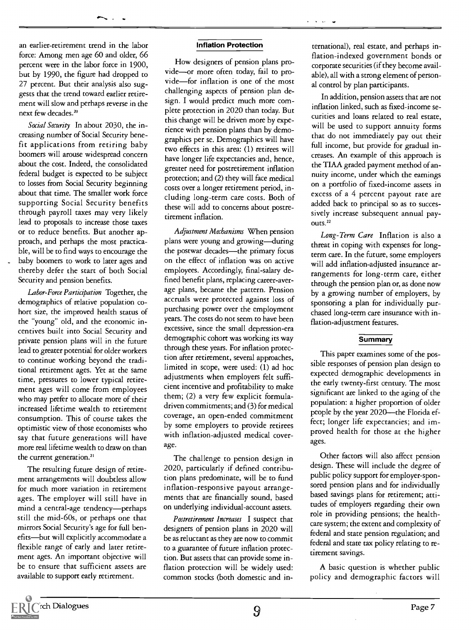an earlier-retirement trend in the labor force: Among men age 60 and older, 66 percent were in the labor force in 1900, but by 1990, the figure had dropped to 27 percent. But their analysis also suggests that the trend toward earlier retirement will slow and perhaps reverse in the next few decades.<sup>20</sup>

Social Security In about 2030, the increasing number of Social Security benefit applications from retiring baby boomers will arouse widespread concern about the cost. Indeed, the consolidated federal budget is expected to be subject to losses from Social Security beginning about that time. The smaller work force supporting Social Security benefits through payroll taxes may very likely lead to proposals to increase those taxes or to reduce benefits. But another approach, and perhaps the most practicable, will be to find ways to encourage the baby boomers to work to later ages and thereby defer the start of both Social Security and pension benefits.

Labor-Force Participation Together, the demographics of relative population cohort size, the improved health status of the "young" old, and the economic incentives built into Social Security and private pension plans will in the future lead to greater potential for older workers to continue working beyond the traditional retirement ages. Yet at the same time, pressures to lower typical retirement ages will come from employees who may prefer to allocate more of their increased lifetime wealth to retirement consumption. This of course takes the optimistic view of those economists who say that future generations will have more real lifetime wealth to draw on than the current generation.<sup>21</sup>

The resulting future design of retirement arrangements will doubtless allow for much more variation in retirement ages. The employer will still have in mind a central-age tendency-perhaps still the mid-60s, or perhaps one that mirrors Social Security's age for full benefits-but will explicitly accommodate a flexible range of early and later retirement ages. An important objective will be to ensure that sufficient assets are available to support early retirement.

#### Inflation Protection

How designers of pension plans provide-or more often today, fail to provide-for inflation is one of the most challenging aspects of pension plan design. I would predict much more complete protection in 2020 than today. But this change will be driven more by experience with pension plans than by demographics per se. Demographics will have two effects in this area: (1) retirees will have longer life expectancies and, hence, greater need for postretirement inflation protection; and (2) they will face medical costs over a longer retirement period, including long-term care costs. Both of these will add to concerns about postretirement inflation.

Adjustment Mechanisms When pension plans were young and growing—during the postwar decades-the primary focus on the effect of inflation was on active employees. Accordingly, final-salary defined benefit plans, replacing career-average plans, became the pattern. Pension accruals were protected against loss of purchasing power over the employment years. The costs do not seem to have been excessive, since the small depression-era demographic cohort was working its way through these years. For inflation protection after retirement, several approaches, limited in scope, were used: (1) ad hoc adjustments when employers felt sufficient incentive and profitability to make them; (2) a very few explicit formuladriven commitments; and (3) for medical coverage, an open-ended commitment by some employers to provide retirees with inflation-adjusted medical coverage.

The challenge to pension design in 2020, particularly if defined contribution plans predominate, will be to fund inflation-responsive payout arrangements that are financially sound, based on underlying individual-account assets.

Postretirement Increases I suspect that designers of pension plans in 2020 will be as reluctant as they are now to commit to a guarantee of future inflation protection. But assets that can provide some inflation protection will be widely used: common stocks (both domestic and in-

ternational), real estate, and perhaps inflation-indexed government bonds or corporate securities (if they become available), all with a strong element of personal control by plan participants.

In addition, pension assets that are not inflation linked, such as fixed-income securities and loans related to real estate, will be used to support annuity forms that do not immediately pay out their full income, but provide for gradual increases. An example of this approach is the TIAA graded payment method of annuity income, under which the earnings on a portfolio of fixed-income assets in excess of a 4 percent payout rate are added back to principal so as to successively increase subsequent annual payouts.<sup>22</sup>

Long-Term Care Inflation is also a threat in coping with expenses for longterm care. In the future, some employers will add inflation-adjusted insurance arrangements for long-term care, either through the pension plan or, as done now by a growing number of employers, by sponsoring a plan for individually purchased long-term care insurance with inflation-adjustment features.

#### **Summary**

This paper examines some of the possible responses of pension plan design to expected demographic developments in the early twenty-first century. The most significant are linked to the aging of the population: a higher proportion of older people by the year 2020-the Florida effect; longer life expectancies; and improved health for those at the higher ages.

Other factors will also affect pension design. These will include the degree of public policy support for employer-sponsored pension plans and for individually based savings plans for retirement; attitudes of employers regarding their own role in providing pensions; the healthcare system; the extent and complexity of federal and state pension regulation; and federal and state tax policy relating to retirement savings.

A basic question is whether public policy and demographic factors will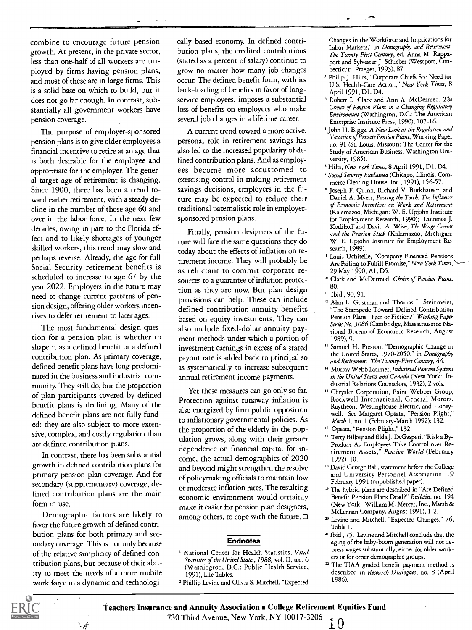combine to encourage future pension growth. At present, in the private sector, less than one-half of all workers are employed by firms having pension plans, and most of these are in large firms. This is a solid base on which to build, but it does not go far enough. In contrast, substantially all government workers have pension coverage.

The purpose of employer-sponsored pension plans is to give older employees a financial incentive to retire at an age that is both desirable for the employee and appropriate for the employer. The general target age of retirement is changing. Since 1900, there has been a trend toward earlier retirement, with a steady decline in the number of those age 60 and over in the labor force. In the next few decades, owing in part to the Florida effect and to likely shortages of younger skilled workers, this trend may slow and perhaps reverse. Already, the age for full Social Security retirement benefits is scheduled to increase to age 67 by the year 2022. Employers in the future may need to change current patterns of pension design, offering older workers incentives to defer retirement to later ages.

The most fundamental design question for a pension plan is whether to shape it as a defined benefit or a defined contribution plan. As primary coverage, defined benefit plans have long predominated in the business and industrial community. They still do, but the proportion of plan participants covered by defined benefit plans is declining. Many of the defined benefit plans are not fully funded; they are also subject to more extensive, complex, and costly regulation than are defined contribution plans.

In contrast, there has been substantial growth in defined contribution plans for primary pension plan coverage. And for secondary (supplementary) coverage, defined contribution plans are the main form in use.

Demographic factors are likely to favor the future growth of defined contribution plans for both primary and secondary coverage. This is not only because of the relative simplicity of defined contribution plans, but because of their ability to meet the needs of a more mobile work force in a dynamic and technologically based economy. In defined contribution plans, the credited contributions (stated as a percent of salary) continue to grow no matter how many job changes occur. The defined benefit form, with its back-loading of benefits in favor of longservice employees, imposes a substantial loss of benefits on employees who make several job changes in a lifetime career.

A current trend toward a more active, personal role in retirement savings has also led to the increased popularity of defined contribution plans. And as employees become more accustomed to exercising control in making retirement savings decisions, employers in the future may be expected to reduce their traditional paternalistic role in employersponsored pension plans.

Finally, pension designers of the future will face the same questions they do today about the effects of inflation on retirement income. They will probably be as reluctant to commit corporate resources to a guarantee of inflation protection as they are now. But plan design provisions can help. These can include defined contribution annuity benefits based on equity investments. They can also include fixed-dollar annuity payment methods under which a portion of investment earnings in excess of a stated payout rate is added back to principal so as systematically to increase subsequent annual retirement income payments.

Yet these measures can go only so far. Protection against runaway inflation is also energized by firm public opposition to inflationary governmental policies. As the proportion of the elderly in the population grows, along with their greater dependence on financial capital for income, the actual demographics of 2020 and beyond might strengthen the resolve of policymaking officials to maintain low or moderate inflation rates. The resulting economic environment would certainly make it easier for pension plan designers, among others, to cope with the future.  $\Box$ 

#### Endnotes

- <sup>1</sup> National Center for Health Statistics, Vital Statistics of the United States, 1988, vol. 11, sec. 6 (Washington, D.C.: Public Health Service, 1991), Life Tables.
- 'Phillip Levine and Olivia S. Mitchell, "Expected

Changes in the Workforce and Implications for Labor Markets," in Demography and Retirement: The Twenty-First Century, ed. Anna M. Rappaport and Sylvester J. Schieber (Westport, Connecticut: Praeger, 1993), 87.

- <sup>3</sup> Philip J. Hilts, "Corporate Chiefs See Need for U.S. Health-Care Action," New York Times, 8 April 1991, DI, D4.
- Robert L. Clark and Ann A. McDermed, The Choice of Pension Plans in a Changing Regulatory Environment (Washington, D.C.: The American Enterprise Institute Press, 1990), 107-16.
- <sup>5</sup> John H. Biggs, A New Look at the Regulation and Taxation of Private Pension Plans, Working Paper no. 91 (St. Louis, Missouri: The Center for the Study of American Business, Washington University, 1985).
- 'Hilts, New York Times, 8 April 1991, Dl, D4.
- ' Social Security Explained (Chicago, Illinois: Commerce Clearing House, Inc., 1991), 156-57.
- Joseph F. Quinn, Richard V. Burkhauser, and Daniel A. Myers, Passing the Torch: The Influence of Economic Incentives on Work and Retirement (Kalamazoo, Michigan: W. E. Upjohn Institute for Employment Research, 1990); Laurence J. Kotlikoff and David A. Wise, The Wage Carrot and the Pension Stick (Kalamazoo, Michigan: W. E. Upjohn Institute for Employment Research, 1989).
- <sup>9</sup> Louis Uchitelle, "Company-Financed Pensions Are Failing to Fulfill Promise," New York Times, 29 May 1990, Al, D5.
- <sup>10</sup> Clark and McDermed, Choice of Pension Plans, 80.
- <sup>11</sup> Ibid., 90, 91.
- <sup>12</sup> Alan L. Gustman and Thomas L. Steinmeier, "The Stampede Toward Defined Contribution Pension Plans: Fact or Fiction?" Working Paper Series No. 3086 (Cambridge, Massachusetts: National Bureau of Economic Research, August 1989), 9.
- <sup>13</sup> Samuel H. Preston, "Demographic Change in the United States, 1970-2050," in Demography and Retirement: The Twenty-First Century, 44.
- <sup>14</sup> Murray Webb Latimer, Industrial Pension Systems in the United States and Canada (New York: Industrial Relations Counselors, 1932), 2 vols.
- " Chrysler Corporation, Paine Webber Group, Rockwell International, General Motors, Raytheon, Westinghouse Electric, and Honeywell. See Margaret Opsata, "Pension Plight," Worth 1, no. 1 (February-March 1992): 132.

<sup>16</sup> Opsata, "Pension Plight," 132.

- Terty Bilkey and Elda J. DeGasperi, "Risk a By-Product As Employees Take Control over Retirement Assets," Pension World (February 1992): 10.
- <sup>18</sup> David George Ball, statement before the College and University Personnel Association, 19 February 1991 (unpublished paper).
- <sup>19</sup> The hybrid plans are described in "Are Defined Benefit Pension Plans Dead?" Bulletin, no. 194 (New York: William M. Mercer, Inc., Marsh & McLennan Company, August 1991), 1-2.
- <sup>20</sup> Levine and Mitchell, "Expected Changes," 76, Table 1.
- 2' Ibid., 75. Levine and Mitchell conclude that the aging of the baby-boom generation will not depress wages substantially, either for older workers or for other demographic groups.
- <sup>22</sup> The TIAA graded benefit payment method is described in Research Dialogues, no. 8 (April 1986).

Teachers Insurance and Annuity Association . College Retirement Equities Fund 730 Third Avenue, New York, NY 10017-3206  $\bigcirc$  1 0